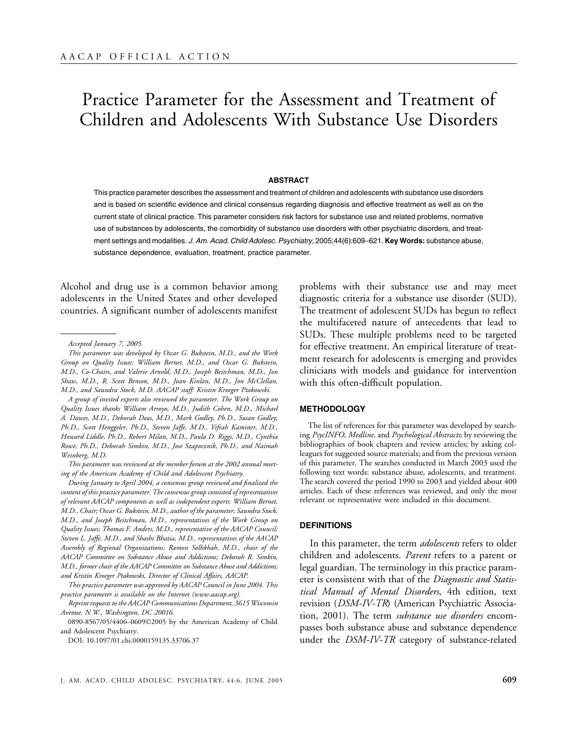# Practice Parameter for the Assessment and Treatment of Children and Adolescents With Substance Use Disorders

#### ABSTRACT

This practice parameter describes the assessment and treatment of children and adolescents with substance use disorders and is based on scientific evidence and clinical consensus regarding diagnosis and effective treatment as well as on the current state of clinical practice. This parameter considers risk factors for substance use and related problems, normative use of substances by adolescents, the comorbidity of substance use disorders with other psychiatric disorders, and treatment settings and modalities. J. Am. Acad. Child Adolesc. Psychiatry, 2005;44(6):609-621. Key Words: substance abuse, substance dependence, evaluation, treatment, practice parameter.

Alcohol and drug use is a common behavior among adolescents in the United States and other developed countries. A significant number of adolescents manifest

A group of invited experts also reviewed the parameter. The Work Group on Quality Issues thanks William Arroyo, M.D., Judith Cohen, M.D., Michael A. Dawes, M.D., Deborah Deas, M.D., Mark Godley, Ph.D., Susan Godley, Ph.D., Scott Henggeler, Ph.D., Steven Jaffe, M.D., Yifrah Kaminer, M.D., Howard Liddle, Ph.D., Robert Milan, M.D., Paula D. Riggs, M.D., Cynthia Rowe, Ph.D., Deborah Simkin, M.D., Jose Szapocznik, Ph.D., and Naimah Weinberg, M.D.

During January to April 2004, a consensus group reviewed and finalized the content of this practice parameter. The consensus group consisted of representatives of relevant AACAP components as well as independent experts: William Bernet, M.D., Chair; Oscar G. Bukstein, M.D., author of the parameter; Saundra Stock, M.D., and Joseph Beitchman, M.D., representatives of the Work Group on Quality Issues; Thomas F. Anders, M.D., representative of the AACAP Council; Steven L. Jaffe, M.D., and Shashi Bhatia, M.D., representatives of the AACAP Assembly of Regional Organizations; Ramon Solhkhah, M.D., chair of the AACAP Committee on Substance Abuse and Addictions; Deborah R. Simkin, M.D., former chair of the AACAP Committee on Substance Abuse and Addictions; and Kristin Kroeger Ptakowski, Director of Clinical Affairs, AACAP.

This practice parameter was approved by AACAP Council in June 2004. This practice parameter is available on the Internet (www.aacap.org).

Reprint requests to the AACAP Communications Department, 3615 Wisconsin Avenue, N.W., Washington, DC 20016.

0890-8567/05/4406–06092005 by the American Academy of Child and Adolescent Psychiatry.

DOI: 10.1097/01.chi.0000159135.33706.37

problems with their substance use and may meet diagnostic criteria for a substance use disorder (SUD). The treatment of adolescent SUDs has begun to reflect the multifaceted nature of antecedents that lead to SUDs. These multiple problems need to be targeted for effective treatment. An empirical literature of treatment research for adolescents is emerging and provides clinicians with models and guidance for intervention with this often-difficult population.

## **METHODOLOGY**

The list of references for this parameter was developed by searching PsycINFO, Medline, and Psychological Abstracts; by reviewing the bibliographies of book chapters and review articles; by asking colleagues for suggested source materials; and from the previous version of this parameter. The searches conducted in March 2003 used the following text words: substance abuse, adolescents, and treatment. The search covered the period 1990 to 2003 and yielded about 400 articles. Each of these references was reviewed, and only the most relevant or representative were included in this document.

#### **DEFINITIONS**

In this parameter, the term *adolescents* refers to older children and adolescents. *Parent* refers to a parent or legal guardian. The terminology in this practice parameter is consistent with that of the Diagnostic and Statistical Manual of Mental Disorders, 4th edition, text revision (DSM-IV-TR) (American Psychiatric Association, 2001). The term *substance use disorders* encompasses both substance abuse and substance dependence under the DSM-IV-TR category of substance-related

Accepted January 7, 2005.

This parameter was developed by Oscar G. Bukstein, M.D., and the Work Group on Quality Issues: William Bernet, M.D., and Oscar G. Bukstein, M.D., Co-Chairs, and Valerie Arnold, M.D., Joseph Beitchman, M.D., Jon Shaw, M.D., R. Scott Benson, M.D., Joan Kinlan, M.D., Jon McClellan, M.D., and Saundra Stock, M.D. AACAP staff: Kristin Kroeger Ptakowski.

This parameter was reviewed at the member forum at the 2002 annual meeting of the American Academy of Child and Adolescent Psychiatry.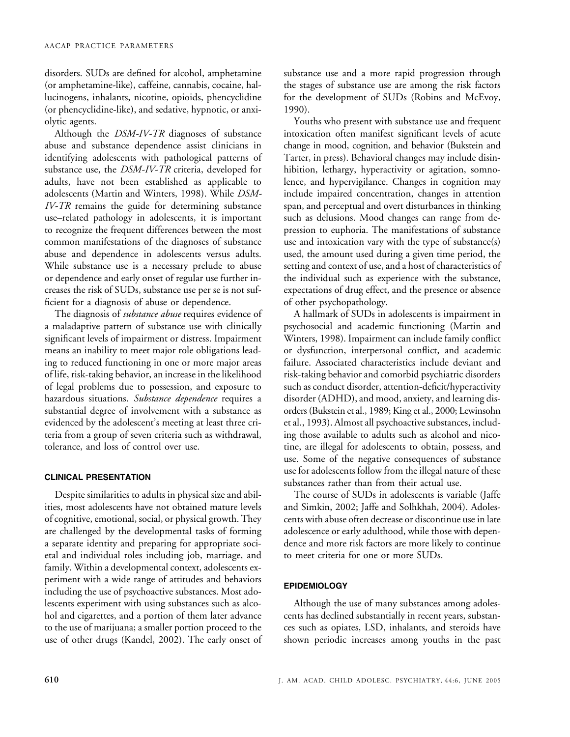disorders. SUDs are defined for alcohol, amphetamine (or amphetamine-like), caffeine, cannabis, cocaine, hallucinogens, inhalants, nicotine, opioids, phencyclidine (or phencyclidine-like), and sedative, hypnotic, or anxiolytic agents.

Although the DSM-IV-TR diagnoses of substance abuse and substance dependence assist clinicians in identifying adolescents with pathological patterns of substance use, the DSM-IV-TR criteria, developed for adults, have not been established as applicable to adolescents (Martin and Winters, 1998). While DSM-IV-TR remains the guide for determining substance use–related pathology in adolescents, it is important to recognize the frequent differences between the most common manifestations of the diagnoses of substance abuse and dependence in adolescents versus adults. While substance use is a necessary prelude to abuse or dependence and early onset of regular use further increases the risk of SUDs, substance use per se is not sufficient for a diagnosis of abuse or dependence.

The diagnosis of *substance abuse* requires evidence of a maladaptive pattern of substance use with clinically significant levels of impairment or distress. Impairment means an inability to meet major role obligations leading to reduced functioning in one or more major areas of life, risk-taking behavior, an increase in the likelihood of legal problems due to possession, and exposure to hazardous situations. Substance dependence requires a substantial degree of involvement with a substance as evidenced by the adolescent's meeting at least three criteria from a group of seven criteria such as withdrawal, tolerance, and loss of control over use.

## CLINICAL PRESENTATION

Despite similarities to adults in physical size and abilities, most adolescents have not obtained mature levels of cognitive, emotional, social, or physical growth. They are challenged by the developmental tasks of forming a separate identity and preparing for appropriate societal and individual roles including job, marriage, and family. Within a developmental context, adolescents experiment with a wide range of attitudes and behaviors including the use of psychoactive substances. Most adolescents experiment with using substances such as alcohol and cigarettes, and a portion of them later advance to the use of marijuana; a smaller portion proceed to the use of other drugs (Kandel, 2002). The early onset of substance use and a more rapid progression through the stages of substance use are among the risk factors for the development of SUDs (Robins and McEvoy, 1990).

Youths who present with substance use and frequent intoxication often manifest significant levels of acute change in mood, cognition, and behavior (Bukstein and Tarter, in press). Behavioral changes may include disinhibition, lethargy, hyperactivity or agitation, somnolence, and hypervigilance. Changes in cognition may include impaired concentration, changes in attention span, and perceptual and overt disturbances in thinking such as delusions. Mood changes can range from depression to euphoria. The manifestations of substance use and intoxication vary with the type of substance(s) used, the amount used during a given time period, the setting and context of use, and a host of characteristics of the individual such as experience with the substance, expectations of drug effect, and the presence or absence of other psychopathology.

A hallmark of SUDs in adolescents is impairment in psychosocial and academic functioning (Martin and Winters, 1998). Impairment can include family conflict or dysfunction, interpersonal conflict, and academic failure. Associated characteristics include deviant and risk-taking behavior and comorbid psychiatric disorders such as conduct disorder, attention-deficit/hyperactivity disorder (ADHD), and mood, anxiety, and learning disorders (Bukstein et al., 1989; King et al., 2000; Lewinsohn et al., 1993). Almost all psychoactive substances, including those available to adults such as alcohol and nicotine, are illegal for adolescents to obtain, possess, and use. Some of the negative consequences of substance use for adolescents follow from the illegal nature of these substances rather than from their actual use.

The course of SUDs in adolescents is variable (Jaffe and Simkin, 2002; Jaffe and Solhkhah, 2004). Adolescents with abuse often decrease or discontinue use in late adolescence or early adulthood, while those with dependence and more risk factors are more likely to continue to meet criteria for one or more SUDs.

## **EPIDEMIOLOGY**

Although the use of many substances among adolescents has declined substantially in recent years, substances such as opiates, LSD, inhalants, and steroids have shown periodic increases among youths in the past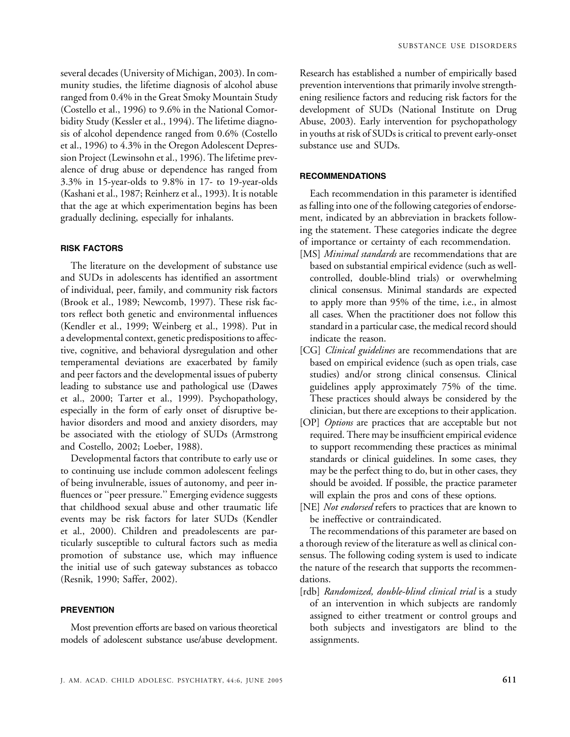several decades (University of Michigan, 2003). In community studies, the lifetime diagnosis of alcohol abuse ranged from 0.4% in the Great Smoky Mountain Study (Costello et al., 1996) to 9.6% in the National Comorbidity Study (Kessler et al., 1994). The lifetime diagnosis of alcohol dependence ranged from 0.6% (Costello et al., 1996) to 4.3% in the Oregon Adolescent Depression Project (Lewinsohn et al., 1996). The lifetime prevalence of drug abuse or dependence has ranged from 3.3% in 15-year-olds to 9.8% in 17- to 19-year-olds (Kashani et al., 1987; Reinherz et al., 1993). It is notable that the age at which experimentation begins has been gradually declining, especially for inhalants.

#### RISK FACTORS

The literature on the development of substance use and SUDs in adolescents has identified an assortment of individual, peer, family, and community risk factors (Brook et al., 1989; Newcomb, 1997). These risk factors reflect both genetic and environmental influences (Kendler et al., 1999; Weinberg et al., 1998). Put in a developmental context, genetic predispositions to affective, cognitive, and behavioral dysregulation and other temperamental deviations are exacerbated by family and peer factors and the developmental issues of puberty leading to substance use and pathological use (Dawes et al., 2000; Tarter et al., 1999). Psychopathology, especially in the form of early onset of disruptive behavior disorders and mood and anxiety disorders, may be associated with the etiology of SUDs (Armstrong and Costello, 2002; Loeber, 1988).

Developmental factors that contribute to early use or to continuing use include common adolescent feelings of being invulnerable, issues of autonomy, and peer influences or ''peer pressure.'' Emerging evidence suggests that childhood sexual abuse and other traumatic life events may be risk factors for later SUDs (Kendler et al., 2000). Children and preadolescents are particularly susceptible to cultural factors such as media promotion of substance use, which may influence the initial use of such gateway substances as tobacco (Resnik, 1990; Saffer, 2002).

# **PREVENTION**

Most prevention efforts are based on various theoretical models of adolescent substance use/abuse development.

Research has established a number of empirically based prevention interventions that primarily involve strengthening resilience factors and reducing risk factors for the development of SUDs (National Institute on Drug Abuse, 2003). Early intervention for psychopathology in youths at risk of SUDs is critical to prevent early-onset substance use and SUDs.

## RECOMMENDATIONS

Each recommendation in this parameter is identified as falling into one of the following categories of endorsement, indicated by an abbreviation in brackets following the statement. These categories indicate the degree of importance or certainty of each recommendation.

- [MS] *Minimal standards* are recommendations that are based on substantial empirical evidence (such as wellcontrolled, double-blind trials) or overwhelming clinical consensus. Minimal standards are expected to apply more than 95% of the time, i.e., in almost all cases. When the practitioner does not follow this standard in a particular case, the medical record should indicate the reason.
- [CG] *Clinical guidelines* are recommendations that are based on empirical evidence (such as open trials, case studies) and/or strong clinical consensus. Clinical guidelines apply approximately 75% of the time. These practices should always be considered by the clinician, but there are exceptions to their application.
- [OP] *Options* are practices that are acceptable but not required. There may be insufficient empirical evidence to support recommending these practices as minimal standards or clinical guidelines. In some cases, they may be the perfect thing to do, but in other cases, they should be avoided. If possible, the practice parameter will explain the pros and cons of these options.
- [NE] Not endorsed refers to practices that are known to be ineffective or contraindicated.

The recommendations of this parameter are based on a thorough review of the literature as well as clinical consensus. The following coding system is used to indicate the nature of the research that supports the recommendations.

[rdb] Randomized, double-blind clinical trial is a study of an intervention in which subjects are randomly assigned to either treatment or control groups and both subjects and investigators are blind to the assignments.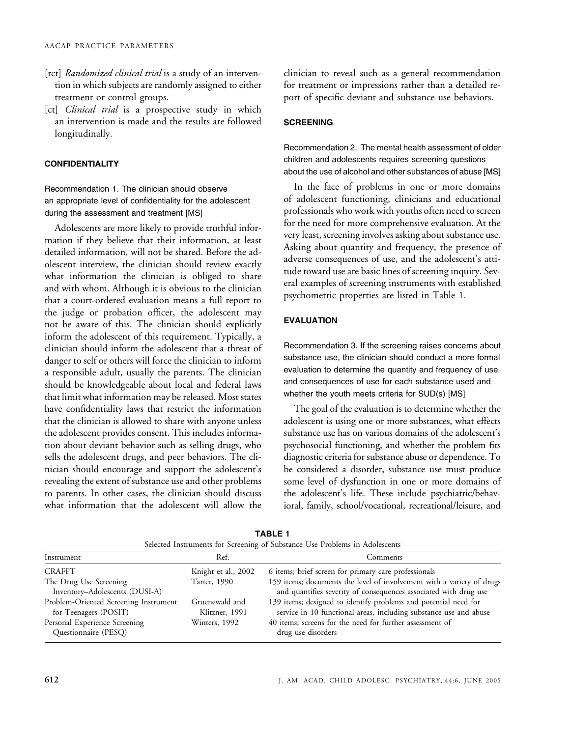- [rct] Randomized clinical trial is a study of an intervention in which subjects are randomly assigned to either treatment or control groups.
- [ct] *Clinical trial* is a prospective study in which an intervention is made and the results are followed longitudinally.

## **CONFIDENTIALITY**

Recommendation 1. The clinician should observe an appropriate level of confidentiality for the adolescent during the assessment and treatment [MS]

Adolescents are more likely to provide truthful information if they believe that their information, at least detailed information, will not be shared. Before the adolescent interview, the clinician should review exactly what information the clinician is obliged to share and with whom. Although it is obvious to the clinician that a court-ordered evaluation means a full report to the judge or probation officer, the adolescent may not be aware of this. The clinician should explicitly inform the adolescent of this requirement. Typically, a clinician should inform the adolescent that a threat of danger to self or others will force the clinician to inform a responsible adult, usually the parents. The clinician should be knowledgeable about local and federal laws that limit what information may be released. Most states have confidentiality laws that restrict the information that the clinician is allowed to share with anyone unless the adolescent provides consent. This includes information about deviant behavior such as selling drugs, who sells the adolescent drugs, and peer behaviors. The clinician should encourage and support the adolescent's revealing the extent of substance use and other problems to parents. In other cases, the clinician should discuss what information that the adolescent will allow the

clinician to reveal such as a general recommendation for treatment or impressions rather than a detailed report of specific deviant and substance use behaviors.

## **SCREENING**

Recommendation 2. The mental health assessment of older children and adolescents requires screening questions about the use of alcohol and other substances of abuse [MS]

In the face of problems in one or more domains of adolescent functioning, clinicians and educational professionals who work with youths often need to screen for the need for more comprehensive evaluation. At the very least, screening involves asking about substance use. Asking about quantity and frequency, the presence of adverse consequences of use, and the adolescent's attitude toward use are basic lines of screening inquiry. Several examples of screening instruments with established psychometric properties are listed in Table 1.

## EVALUATION

Recommendation 3. If the screening raises concerns about substance use, the clinician should conduct a more formal evaluation to determine the quantity and frequency of use and consequences of use for each substance used and whether the youth meets criteria for SUD(s) [MS]

The goal of the evaluation is to determine whether the adolescent is using one or more substances, what effects substance use has on various domains of the adolescent's psychosocial functioning, and whether the problem fits diagnostic criteria for substance abuse or dependence. To be considered a disorder, substance use must produce some level of dysfunction in one or more domains of the adolescent's life. These include psychiatric/behavioral, family, school/vocational, recreational/leisure, and

| Selected Instruments for Screening of Substance Use Problems in Adolescents |                                  |                                                                                                                                           |  |  |
|-----------------------------------------------------------------------------|----------------------------------|-------------------------------------------------------------------------------------------------------------------------------------------|--|--|
| Instrument                                                                  | Ref.                             | Comments                                                                                                                                  |  |  |
| <b>CRAFFT</b>                                                               | Knight et al., 2002              | 6 items; brief screen for primary care professionals                                                                                      |  |  |
| The Drug Use Screening<br>Inventory-Adolescents (DUSI-A)                    | Tarter, 1990                     | 159 items; documents the level of involvement with a variety of drugs<br>and quantifies severity of consequences associated with drug use |  |  |
| Problem-Oriented Screening Instrument<br>for Teenagers (POSIT)              | Gruenewald and<br>Klitzner, 1991 | 139 items; designed to identify problems and potential need for<br>service in 10 functional areas, including substance use and abuse      |  |  |
| Personal Experience Screening<br>Questionnaire (PESQ)                       | Winters, 1992                    | 40 items; screens for the need for further assessment of<br>drug use disorders                                                            |  |  |

TABLE 1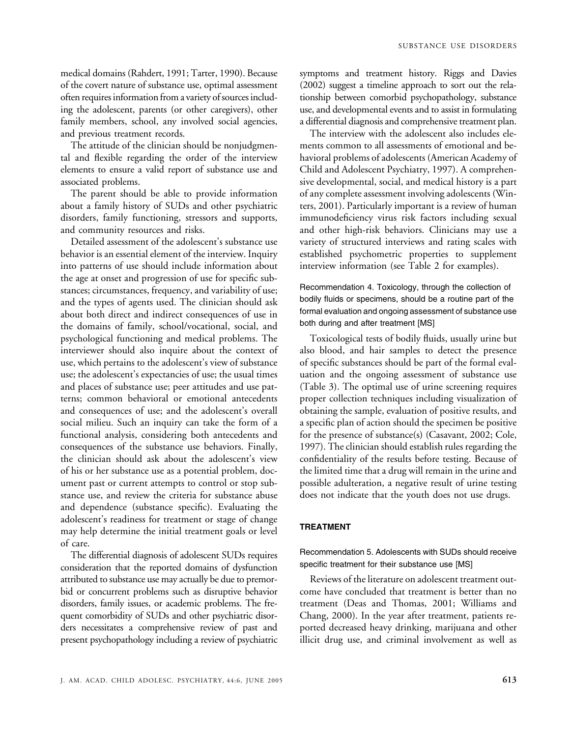medical domains (Rahdert, 1991; Tarter, 1990). Because of the covert nature of substance use, optimal assessment often requires information from a variety of sources including the adolescent, parents (or other caregivers), other family members, school, any involved social agencies, and previous treatment records.

The attitude of the clinician should be nonjudgmental and flexible regarding the order of the interview elements to ensure a valid report of substance use and associated problems.

The parent should be able to provide information about a family history of SUDs and other psychiatric disorders, family functioning, stressors and supports, and community resources and risks.

Detailed assessment of the adolescent's substance use behavior is an essential element of the interview. Inquiry into patterns of use should include information about the age at onset and progression of use for specific substances; circumstances, frequency, and variability of use; and the types of agents used. The clinician should ask about both direct and indirect consequences of use in the domains of family, school/vocational, social, and psychological functioning and medical problems. The interviewer should also inquire about the context of use, which pertains to the adolescent's view of substance use; the adolescent's expectancies of use; the usual times and places of substance use; peer attitudes and use patterns; common behavioral or emotional antecedents and consequences of use; and the adolescent's overall social milieu. Such an inquiry can take the form of a functional analysis, considering both antecedents and consequences of the substance use behaviors. Finally, the clinician should ask about the adolescent's view of his or her substance use as a potential problem, document past or current attempts to control or stop substance use, and review the criteria for substance abuse and dependence (substance specific). Evaluating the adolescent's readiness for treatment or stage of change may help determine the initial treatment goals or level of care.

The differential diagnosis of adolescent SUDs requires consideration that the reported domains of dysfunction attributed to substance use may actually be due to premorbid or concurrent problems such as disruptive behavior disorders, family issues, or academic problems. The frequent comorbidity of SUDs and other psychiatric disorders necessitates a comprehensive review of past and present psychopathology including a review of psychiatric symptoms and treatment history. Riggs and Davies (2002) suggest a timeline approach to sort out the relationship between comorbid psychopathology, substance use, and developmental events and to assist in formulating a differential diagnosis and comprehensive treatment plan.

The interview with the adolescent also includes elements common to all assessments of emotional and behavioral problems of adolescents (American Academy of Child and Adolescent Psychiatry, 1997). A comprehensive developmental, social, and medical history is a part of any complete assessment involving adolescents (Winters, 2001). Particularly important is a review of human immunodeficiency virus risk factors including sexual and other high-risk behaviors. Clinicians may use a variety of structured interviews and rating scales with established psychometric properties to supplement interview information (see Table 2 for examples).

Recommendation 4. Toxicology, through the collection of bodily fluids or specimens, should be a routine part of the formal evaluation and ongoing assessment of substance use both during and after treatment [MS]

Toxicological tests of bodily fluids, usually urine but also blood, and hair samples to detect the presence of specific substances should be part of the formal evaluation and the ongoing assessment of substance use (Table 3). The optimal use of urine screening requires proper collection techniques including visualization of obtaining the sample, evaluation of positive results, and a specific plan of action should the specimen be positive for the presence of substance(s) (Casavant, 2002; Cole, 1997). The clinician should establish rules regarding the confidentiality of the results before testing. Because of the limited time that a drug will remain in the urine and possible adulteration, a negative result of urine testing does not indicate that the youth does not use drugs.

### TREATMENT

Recommendation 5. Adolescents with SUDs should receive specific treatment for their substance use [MS]

Reviews of the literature on adolescent treatment outcome have concluded that treatment is better than no treatment (Deas and Thomas, 2001; Williams and Chang, 2000). In the year after treatment, patients reported decreased heavy drinking, marijuana and other illicit drug use, and criminal involvement as well as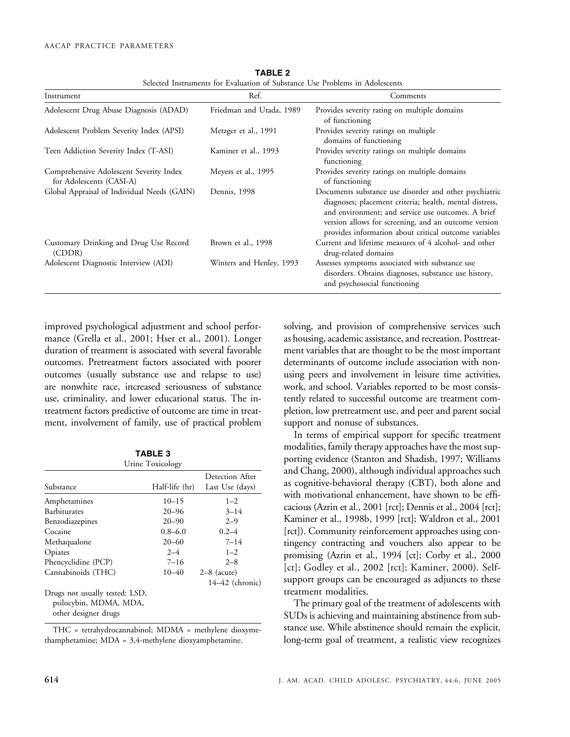TABLE 2 Selected Instruments for Evaluation of Substance Use Problems in Adolescents

| Instrument                                                          | Ref.                     | Comments                                                                                                                                                                                                                                                                                 |
|---------------------------------------------------------------------|--------------------------|------------------------------------------------------------------------------------------------------------------------------------------------------------------------------------------------------------------------------------------------------------------------------------------|
| Adolescent Drug Abuse Diagnosis (ADAD)                              | Friedman and Utada, 1989 | Provides severity rating on multiple domains<br>of functioning                                                                                                                                                                                                                           |
| Adolescent Problem Severity Index (APSI)                            | Metzger et al., 1991     | Provides severity ratings on multiple<br>domains of functioning                                                                                                                                                                                                                          |
| Teen Addiction Severity Index (T-ASI)                               | Kaminer et al., 1993     | Provides severity ratings on multiple domains<br>functioning                                                                                                                                                                                                                             |
| Comprehensive Adolescent Severity Index<br>for Adolescents (CASI-A) | Meyers et al., 1995      | Provides severity ratings on multiple domains<br>of functioning                                                                                                                                                                                                                          |
| Global Appraisal of Individual Needs (GAIN)                         | Dennis, 1998             | Documents substance use disorder and other psychiatric<br>diagnoses; placement criteria; health, mental distress,<br>and environment; and service use outcomes. A brief<br>version allows for screening, and an outcome version<br>provides information about critical outcome variables |
| Customary Drinking and Drug Use Record<br>(CDDR)                    | Brown et al., 1998       | Current and lifetime measures of 4 alcohol- and other<br>drug-related domains                                                                                                                                                                                                            |
| Adolescent Diagnostic Interview (ADI)                               | Winters and Henley, 1993 | Assesses symptoms associated with substance use<br>disorders. Obtains diagnoses, substance use history,<br>and psychosocial functioning                                                                                                                                                  |

improved psychological adjustment and school performance (Grella et al., 2001; Hser et al., 2001). Longer duration of treatment is associated with several favorable outcomes. Pretreatment factors associated with poorer outcomes (usually substance use and relapse to use) are nonwhite race, increased seriousness of substance use, criminality, and lower educational status. The intreatment factors predictive of outcome are time in treatment, involvement of family, use of practical problem

| <b>TABLE 3</b>   |
|------------------|
| Urine Toxicology |

| $\circ$ and $\circ$ and $\circ$                                                  |                |                   |  |  |  |
|----------------------------------------------------------------------------------|----------------|-------------------|--|--|--|
|                                                                                  |                | Detection After   |  |  |  |
| Substance                                                                        | Half-life (hr) | Last Use (days)   |  |  |  |
| Amphetamines                                                                     | $10 - 15$      | $1 - 2$           |  |  |  |
| <b>Barbiturates</b>                                                              | $20 - 96$      | $3 - 14$          |  |  |  |
| Benzodiazepines                                                                  | $20 - 90$      | $2 - 9$           |  |  |  |
| Cocaine                                                                          | $0.8 - 6.0$    | $0.2 - 4$         |  |  |  |
| Methaqualone                                                                     | $20 - 60$      | $7 - 14$          |  |  |  |
| Opiates                                                                          | $2 - 4$        | $1 - 2$           |  |  |  |
| Phencyclidine (PCP)                                                              | $7 - 16$       | $2 - 8$           |  |  |  |
| Cannabinoids (THC)                                                               | $10 - 40$      | $2-8$ (acute)     |  |  |  |
|                                                                                  |                | $14-42$ (chronic) |  |  |  |
| Drugs not usually tested: LSD,<br>psilocybin, MDMA, MDA,<br>other designer drugs |                |                   |  |  |  |

THC = tetrahydrocannabinol; MDMA = methylene dioxymethamphetamine; MDA = 3,4-methylene dioxyamphetamine.

solving, and provision of comprehensive services such as housing, academic assistance, and recreation. Posttreatment variables that are thought to be the most important determinants of outcome include association with nonusing peers and involvement in leisure time activities, work, and school. Variables reported to be most consistently related to successful outcome are treatment completion, low pretreatment use, and peer and parent social support and nonuse of substances.

In terms of empirical support for specific treatment modalities, family therapy approaches have the most supporting evidence (Stanton and Shadish, 1997; Williams and Chang, 2000), although individual approaches such as cognitive-behavioral therapy (CBT), both alone and with motivational enhancement, have shown to be efficacious (Azrin et al., 2001 [rct]; Dennis et al., 2004 [rct]; Kaminer et al., 1998b, 1999 [rct]; Waldron et al., 2001 [rct]). Community reinforcement approaches using contingency contracting and vouchers also appear to be promising (Azrin et al., 1994 [ct]; Corby et al., 2000 [ct]; Godley et al., 2002 [rct]; Kaminer, 2000). Selfsupport groups can be encouraged as adjuncts to these treatment modalities.

The primary goal of the treatment of adolescents with SUDs is achieving and maintaining abstinence from substance use. While abstinence should remain the explicit, long-term goal of treatment, a realistic view recognizes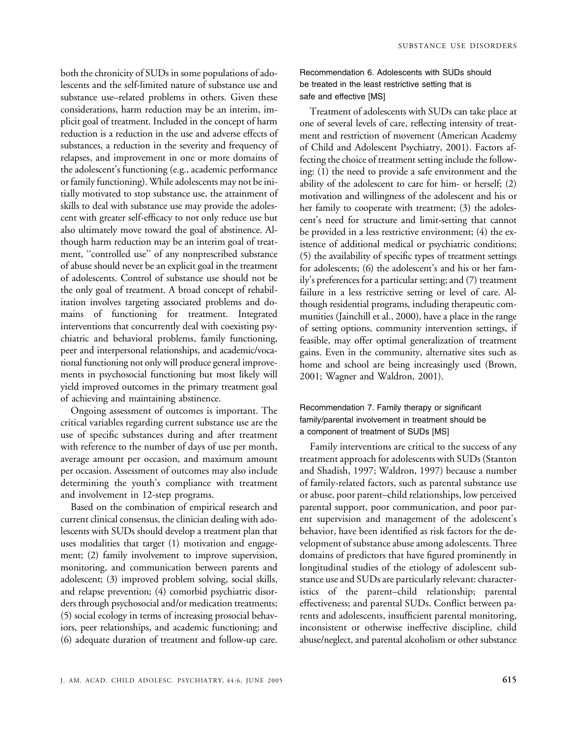both the chronicity of SUDs in some populations of adolescents and the self-limited nature of substance use and substance use–related problems in others. Given these considerations, harm reduction may be an interim, implicit goal of treatment. Included in the concept of harm reduction is a reduction in the use and adverse effects of substances, a reduction in the severity and frequency of relapses, and improvement in one or more domains of the adolescent's functioning (e.g., academic performance or family functioning). While adolescents may not be initially motivated to stop substance use, the attainment of skills to deal with substance use may provide the adolescent with greater self-efficacy to not only reduce use but also ultimately move toward the goal of abstinence. Although harm reduction may be an interim goal of treatment, ''controlled use'' of any nonprescribed substance of abuse should never be an explicit goal in the treatment of adolescents. Control of substance use should not be the only goal of treatment. A broad concept of rehabilitation involves targeting associated problems and domains of functioning for treatment. Integrated interventions that concurrently deal with coexisting psychiatric and behavioral problems, family functioning, peer and interpersonal relationships, and academic/vocational functioning not only will produce general improvements in psychosocial functioning but most likely will yield improved outcomes in the primary treatment goal of achieving and maintaining abstinence.

Ongoing assessment of outcomes is important. The critical variables regarding current substance use are the use of specific substances during and after treatment with reference to the number of days of use per month, average amount per occasion, and maximum amount per occasion. Assessment of outcomes may also include determining the youth's compliance with treatment and involvement in 12-step programs.

Based on the combination of empirical research and current clinical consensus, the clinician dealing with adolescents with SUDs should develop a treatment plan that uses modalities that target (1) motivation and engagement; (2) family involvement to improve supervision, monitoring, and communication between parents and adolescent; (3) improved problem solving, social skills, and relapse prevention; (4) comorbid psychiatric disorders through psychosocial and/or medication treatments; (5) social ecology in terms of increasing prosocial behaviors, peer relationships, and academic functioning; and (6) adequate duration of treatment and follow-up care.

Recommendation 6. Adolescents with SUDs should be treated in the least restrictive setting that is safe and effective [MS]

Treatment of adolescents with SUDs can take place at one of several levels of care, reflecting intensity of treatment and restriction of movement (American Academy of Child and Adolescent Psychiatry, 2001). Factors affecting the choice of treatment setting include the following: (1) the need to provide a safe environment and the ability of the adolescent to care for him- or herself; (2) motivation and willingness of the adolescent and his or her family to cooperate with treatment; (3) the adolescent's need for structure and limit-setting that cannot be provided in a less restrictive environment; (4) the existence of additional medical or psychiatric conditions; (5) the availability of specific types of treatment settings for adolescents; (6) the adolescent's and his or her family's preferences for a particular setting; and (7) treatment failure in a less restrictive setting or level of care. Although residential programs, including therapeutic communities (Jainchill et al., 2000), have a place in the range of setting options, community intervention settings, if feasible, may offer optimal generalization of treatment gains. Even in the community, alternative sites such as home and school are being increasingly used (Brown, 2001; Wagner and Waldron, 2001).

# Recommendation 7. Family therapy or significant family/parental involvement in treatment should be a component of treatment of SUDs [MS]

Family interventions are critical to the success of any treatment approach for adolescents with SUDs (Stanton and Shadish, 1997; Waldron, 1997) because a number of family-related factors, such as parental substance use or abuse, poor parent–child relationships, low perceived parental support, poor communication, and poor parent supervision and management of the adolescent's behavior, have been identified as risk factors for the development of substance abuse among adolescents. Three domains of predictors that have figured prominently in longitudinal studies of the etiology of adolescent substance use and SUDs are particularly relevant: characteristics of the parent–child relationship; parental effectiveness; and parental SUDs. Conflict between parents and adolescents, insufficient parental monitoring, inconsistent or otherwise ineffective discipline, child abuse/neglect, and parental alcoholism or other substance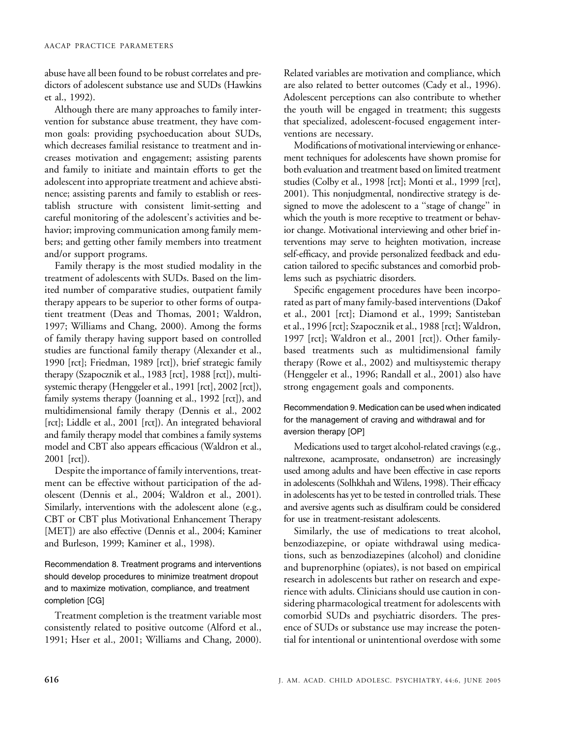abuse have all been found to be robust correlates and predictors of adolescent substance use and SUDs (Hawkins et al., 1992).

Although there are many approaches to family intervention for substance abuse treatment, they have common goals: providing psychoeducation about SUDs, which decreases familial resistance to treatment and increases motivation and engagement; assisting parents and family to initiate and maintain efforts to get the adolescent into appropriate treatment and achieve abstinence; assisting parents and family to establish or reestablish structure with consistent limit-setting and careful monitoring of the adolescent's activities and behavior; improving communication among family members; and getting other family members into treatment and/or support programs.

Family therapy is the most studied modality in the treatment of adolescents with SUDs. Based on the limited number of comparative studies, outpatient family therapy appears to be superior to other forms of outpatient treatment (Deas and Thomas, 2001; Waldron, 1997; Williams and Chang, 2000). Among the forms of family therapy having support based on controlled studies are functional family therapy (Alexander et al., 1990 [rct]; Friedman, 1989 [rct]), brief strategic family therapy (Szapocznik et al., 1983 [rct], 1988 [rct]), multisystemic therapy (Henggeler et al., 1991 [rct], 2002 [rct]), family systems therapy (Joanning et al., 1992 [rct]), and multidimensional family therapy (Dennis et al., 2002 [rct]; Liddle et al., 2001 [rct]). An integrated behavioral and family therapy model that combines a family systems model and CBT also appears efficacious (Waldron et al., 2001 [rct]).

Despite the importance of family interventions, treatment can be effective without participation of the adolescent (Dennis et al., 2004; Waldron et al., 2001). Similarly, interventions with the adolescent alone (e.g., CBT or CBT plus Motivational Enhancement Therapy [MET]) are also effective (Dennis et al., 2004; Kaminer and Burleson, 1999; Kaminer et al., 1998).

Recommendation 8. Treatment programs and interventions should develop procedures to minimize treatment dropout and to maximize motivation, compliance, and treatment completion [CG]

Treatment completion is the treatment variable most consistently related to positive outcome (Alford et al., 1991; Hser et al., 2001; Williams and Chang, 2000).

Related variables are motivation and compliance, which are also related to better outcomes (Cady et al., 1996). Adolescent perceptions can also contribute to whether the youth will be engaged in treatment; this suggests that specialized, adolescent-focused engagement interventions are necessary.

Modifications of motivational interviewing or enhancement techniques for adolescents have shown promise for both evaluation and treatment based on limited treatment studies (Colby et al., 1998 [rct]; Monti et al., 1999 [rct], 2001). This nonjudgmental, nondirective strategy is designed to move the adolescent to a ''stage of change'' in which the youth is more receptive to treatment or behavior change. Motivational interviewing and other brief interventions may serve to heighten motivation, increase self-efficacy, and provide personalized feedback and education tailored to specific substances and comorbid problems such as psychiatric disorders.

Specific engagement procedures have been incorporated as part of many family-based interventions (Dakof et al., 2001 [rct]; Diamond et al., 1999; Santisteban et al., 1996 [rct]; Szapocznik et al., 1988 [rct]; Waldron, 1997 [rct]; Waldron et al., 2001 [rct]). Other familybased treatments such as multidimensional family therapy (Rowe et al., 2002) and multisystemic therapy (Henggeler et al., 1996; Randall et al., 2001) also have strong engagement goals and components.

Recommendation 9. Medication can be used when indicated for the management of craving and withdrawal and for aversion therapy [OP]

Medications used to target alcohol-related cravings (e.g., naltrexone, acamprosate, ondansetron) are increasingly used among adults and have been effective in case reports in adolescents (Solhkhah and Wilens, 1998). Their efficacy in adolescents has yet to be tested in controlled trials. These and aversive agents such as disulfiram could be considered for use in treatment-resistant adolescents.

Similarly, the use of medications to treat alcohol, benzodiazepine, or opiate withdrawal using medications, such as benzodiazepines (alcohol) and clonidine and buprenorphine (opiates), is not based on empirical research in adolescents but rather on research and experience with adults. Clinicians should use caution in considering pharmacological treatment for adolescents with comorbid SUDs and psychiatric disorders. The presence of SUDs or substance use may increase the potential for intentional or unintentional overdose with some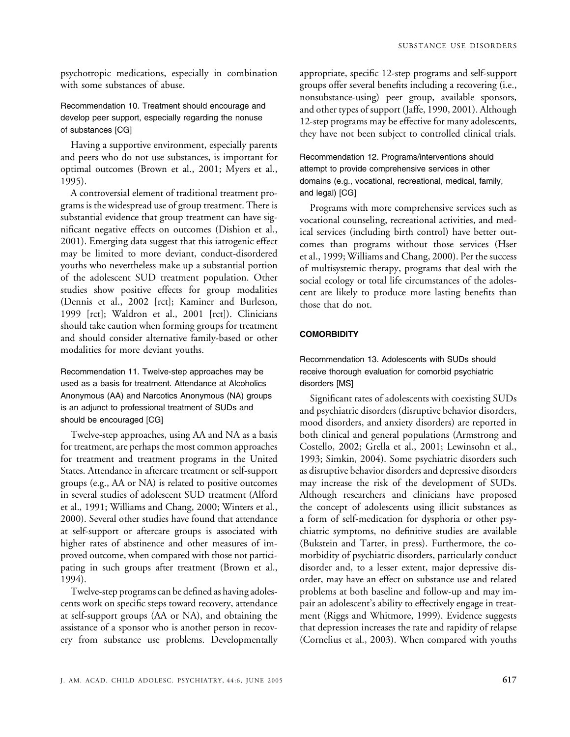psychotropic medications, especially in combination with some substances of abuse.

Recommendation 10. Treatment should encourage and develop peer support, especially regarding the nonuse of substances [CG]

Having a supportive environment, especially parents and peers who do not use substances, is important for optimal outcomes (Brown et al., 2001; Myers et al., 1995).

A controversial element of traditional treatment programs is the widespread use of group treatment. There is substantial evidence that group treatment can have significant negative effects on outcomes (Dishion et al., 2001). Emerging data suggest that this iatrogenic effect may be limited to more deviant, conduct-disordered youths who nevertheless make up a substantial portion of the adolescent SUD treatment population. Other studies show positive effects for group modalities (Dennis et al., 2002 [rct]; Kaminer and Burleson, 1999 [rct]; Waldron et al., 2001 [rct]). Clinicians should take caution when forming groups for treatment and should consider alternative family-based or other modalities for more deviant youths.

Recommendation 11. Twelve-step approaches may be used as a basis for treatment. Attendance at Alcoholics Anonymous (AA) and Narcotics Anonymous (NA) groups is an adjunct to professional treatment of SUDs and should be encouraged [CG]

Twelve-step approaches, using AA and NA as a basis for treatment, are perhaps the most common approaches for treatment and treatment programs in the United States. Attendance in aftercare treatment or self-support groups (e.g., AA or NA) is related to positive outcomes in several studies of adolescent SUD treatment (Alford et al., 1991; Williams and Chang, 2000; Winters et al., 2000). Several other studies have found that attendance at self-support or aftercare groups is associated with higher rates of abstinence and other measures of improved outcome, when compared with those not participating in such groups after treatment (Brown et al., 1994).

Twelve-step programs can be defined as having adolescents work on specific steps toward recovery, attendance at self-support groups (AA or NA), and obtaining the assistance of a sponsor who is another person in recovery from substance use problems. Developmentally appropriate, specific 12-step programs and self-support groups offer several benefits including a recovering (i.e., nonsubstance-using) peer group, available sponsors, and other types of support (Jaffe, 1990, 2001). Although 12-step programs may be effective for many adolescents, they have not been subject to controlled clinical trials.

Recommendation 12. Programs/interventions should attempt to provide comprehensive services in other domains (e.g., vocational, recreational, medical, family, and legal) [CG]

Programs with more comprehensive services such as vocational counseling, recreational activities, and medical services (including birth control) have better outcomes than programs without those services (Hser et al., 1999; Williams and Chang, 2000). Per the success of multisystemic therapy, programs that deal with the social ecology or total life circumstances of the adolescent are likely to produce more lasting benefits than those that do not.

# **COMORBIDITY**

Recommendation 13. Adolescents with SUDs should receive thorough evaluation for comorbid psychiatric disorders [MS]

Significant rates of adolescents with coexisting SUDs and psychiatric disorders (disruptive behavior disorders, mood disorders, and anxiety disorders) are reported in both clinical and general populations (Armstrong and Costello, 2002; Grella et al., 2001; Lewinsohn et al., 1993; Simkin, 2004). Some psychiatric disorders such as disruptive behavior disorders and depressive disorders may increase the risk of the development of SUDs. Although researchers and clinicians have proposed the concept of adolescents using illicit substances as a form of self-medication for dysphoria or other psychiatric symptoms, no definitive studies are available (Bukstein and Tarter, in press). Furthermore, the comorbidity of psychiatric disorders, particularly conduct disorder and, to a lesser extent, major depressive disorder, may have an effect on substance use and related problems at both baseline and follow-up and may impair an adolescent's ability to effectively engage in treatment (Riggs and Whitmore, 1999). Evidence suggests that depression increases the rate and rapidity of relapse (Cornelius et al., 2003). When compared with youths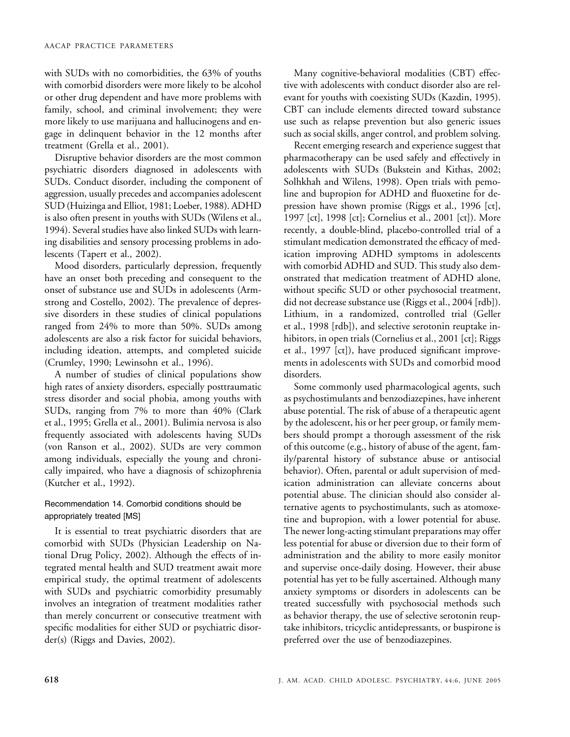with SUDs with no comorbidities, the 63% of youths with comorbid disorders were more likely to be alcohol or other drug dependent and have more problems with family, school, and criminal involvement; they were more likely to use marijuana and hallucinogens and engage in delinquent behavior in the 12 months after treatment (Grella et al., 2001).

Disruptive behavior disorders are the most common psychiatric disorders diagnosed in adolescents with SUDs. Conduct disorder, including the component of aggression, usually precedes and accompanies adolescent SUD (Huizinga and Elliot, 1981; Loeber, 1988). ADHD is also often present in youths with SUDs (Wilens et al., 1994). Several studies have also linked SUDs with learning disabilities and sensory processing problems in adolescents (Tapert et al., 2002).

Mood disorders, particularly depression, frequently have an onset both preceding and consequent to the onset of substance use and SUDs in adolescents (Armstrong and Costello, 2002). The prevalence of depressive disorders in these studies of clinical populations ranged from 24% to more than 50%. SUDs among adolescents are also a risk factor for suicidal behaviors, including ideation, attempts, and completed suicide (Crumley, 1990; Lewinsohn et al., 1996).

A number of studies of clinical populations show high rates of anxiety disorders, especially posttraumatic stress disorder and social phobia, among youths with SUDs, ranging from 7% to more than 40% (Clark et al., 1995; Grella et al., 2001). Bulimia nervosa is also frequently associated with adolescents having SUDs (von Ranson et al., 2002). SUDs are very common among individuals, especially the young and chronically impaired, who have a diagnosis of schizophrenia (Kutcher et al., 1992).

## Recommendation 14. Comorbid conditions should be appropriately treated [MS]

It is essential to treat psychiatric disorders that are comorbid with SUDs (Physician Leadership on National Drug Policy, 2002). Although the effects of integrated mental health and SUD treatment await more empirical study, the optimal treatment of adolescents with SUDs and psychiatric comorbidity presumably involves an integration of treatment modalities rather than merely concurrent or consecutive treatment with specific modalities for either SUD or psychiatric disorder(s) (Riggs and Davies, 2002).

Many cognitive-behavioral modalities (CBT) effective with adolescents with conduct disorder also are relevant for youths with coexisting SUDs (Kazdin, 1995). CBT can include elements directed toward substance use such as relapse prevention but also generic issues such as social skills, anger control, and problem solving.

Recent emerging research and experience suggest that pharmacotherapy can be used safely and effectively in adolescents with SUDs (Bukstein and Kithas, 2002; Solhkhah and Wilens, 1998). Open trials with pemoline and bupropion for ADHD and fluoxetine for depression have shown promise (Riggs et al., 1996 [ct], 1997 [ct], 1998 [ct]; Cornelius et al., 2001 [ct]). More recently, a double-blind, placebo-controlled trial of a stimulant medication demonstrated the efficacy of medication improving ADHD symptoms in adolescents with comorbid ADHD and SUD. This study also demonstrated that medication treatment of ADHD alone, without specific SUD or other psychosocial treatment, did not decrease substance use (Riggs et al., 2004 [rdb]). Lithium, in a randomized, controlled trial (Geller et al., 1998 [rdb]), and selective serotonin reuptake inhibitors, in open trials (Cornelius et al., 2001 [ct]; Riggs et al., 1997 [ct]), have produced significant improvements in adolescents with SUDs and comorbid mood disorders.

Some commonly used pharmacological agents, such as psychostimulants and benzodiazepines, have inherent abuse potential. The risk of abuse of a therapeutic agent by the adolescent, his or her peer group, or family members should prompt a thorough assessment of the risk of this outcome (e.g., history of abuse of the agent, family/parental history of substance abuse or antisocial behavior). Often, parental or adult supervision of medication administration can alleviate concerns about potential abuse. The clinician should also consider alternative agents to psychostimulants, such as atomoxetine and bupropion, with a lower potential for abuse. The newer long-acting stimulant preparations may offer less potential for abuse or diversion due to their form of administration and the ability to more easily monitor and supervise once-daily dosing. However, their abuse potential has yet to be fully ascertained. Although many anxiety symptoms or disorders in adolescents can be treated successfully with psychosocial methods such as behavior therapy, the use of selective serotonin reuptake inhibitors, tricyclic antidepressants, or buspirone is preferred over the use of benzodiazepines.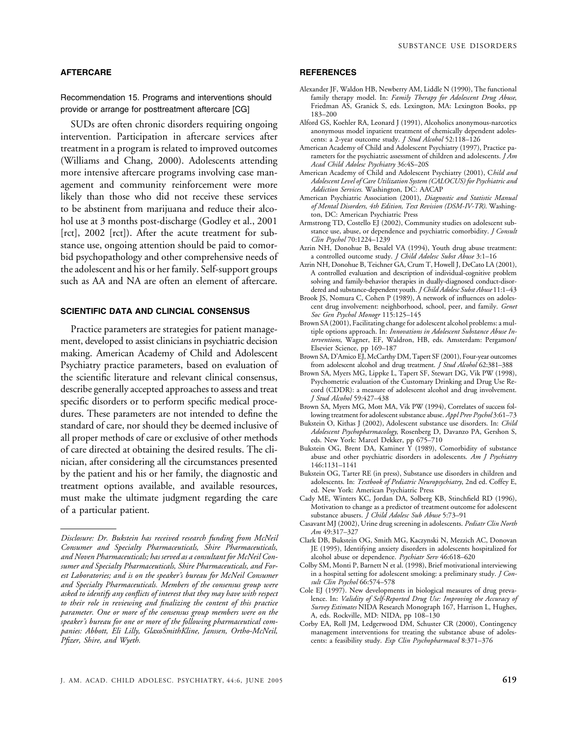## AFTERCARE

Recommendation 15. Programs and interventions should provide or arrange for posttreatment aftercare [CG]

SUDs are often chronic disorders requiring ongoing intervention. Participation in aftercare services after treatment in a program is related to improved outcomes (Williams and Chang, 2000). Adolescents attending more intensive aftercare programs involving case management and community reinforcement were more likely than those who did not receive these services to be abstinent from marijuana and reduce their alcohol use at 3 months post-discharge (Godley et al., 2001 [rct], 2002 [rct]). After the acute treatment for substance use, ongoing attention should be paid to comorbid psychopathology and other comprehensive needs of the adolescent and his or her family. Self-support groups such as AA and NA are often an element of aftercare.

## SCIENTIFIC DATA AND CLINCIAL CONSENSUS

Practice parameters are strategies for patient management, developed to assist clinicians in psychiatric decision making. American Academy of Child and Adolescent Psychiatry practice parameters, based on evaluation of the scientific literature and relevant clinical consensus, describe generally accepted approaches to assess and treat specific disorders or to perform specific medical procedures. These parameters are not intended to define the standard of care, nor should they be deemed inclusive of all proper methods of care or exclusive of other methods of care directed at obtaining the desired results. The clinician, after considering all the circumstances presented by the patient and his or her family, the diagnostic and treatment options available, and available resources, must make the ultimate judgment regarding the care of a particular patient.

#### **REFERENCES**

- Alexander JF, Waldon HB, Newberry AM, Liddle N (1990), The functional family therapy model. In: Family Therapy for Adolescent Drug Abuse, Friedman AS, Granick S, eds. Lexington, MA: Lexington Books, pp 183–200
- Alford GS, Koehler RA, Leonard J (1991), Alcoholics anonymous-narcotics anonymous model inpatient treatment of chemically dependent adolescents: a 2-year outcome study. J Stud Alcohol 52:118–126
- American Academy of Child and Adolescent Psychiatry (1997), Practice parameters for the psychiatric assessment of children and adolescents.  $JAm$ Acad Child Adolesc Psychiatry 36:4S–20S
- American Academy of Child and Adolescent Psychiatry (2001), Child and Adolescent Level of Care Utilization System (CALOCUS) for Psychiatric and Addiction Services. Washington, DC: AACAP
- American Psychiatric Association (2001), Diagnostic and Statistic Manual of Mental Disorders, 4th Edition, Text Revision (DSM-IV-TR). Washington, DC: American Psychiatric Press
- Armstrong TD, Costello EJ (2002), Community studies on adolescent substance use, abuse, or dependence and psychiatric comorbidity. *J Consult* Clin Psychol 70:1224–1239
- Azrin NH, Donohue B, Besalel VA (1994), Youth drug abuse treatment: a controlled outcome study. J Child Adolesc Subst Abuse 3:1–16
- Azrin NH, Donohue B, Teichner GA, Crum T, Howell J, DeCato LA (2001), A controlled evaluation and description of individual-cognitive problem solving and family-behavior therapies in dually-diagnosed conduct-disordered and substance-dependent youth. J Child Adolesc Subst Abuse 11:1-43
- Brook JS, Nomura C, Cohen P (1989), A network of influences on adolescent drug involvement: neighborhood, school, peer, and family. Genet Soc Gen Psychol Monogr 115:125–145
- Brown SA (2001), Facilitating change for adolescent alcohol problems: a multiple options approach. In: Innovations in Adolescent Substance Abuse Interventions, Wagner, EF, Waldron, HB, eds. Amsterdam: Pergamon/ Elsevier Science, pp 169–187
- Brown SA, D'Amico EJ, McCarthy DM, Tapert SF (2001), Four-year outcomes from adolescent alcohol and drug treatment. *J Stud Alcohol* 62:381-388
- Brown SA, Myers MG, Lippke L, Tapert SF, Stewart DG, Vik PW (1998), Psychometric evaluation of the Customary Drinking and Drug Use Record (CDDR): a measure of adolescent alcohol and drug involvement. J Stud Alcohol 59:427–438
- Brown SA, Myers MG, Mott MA, Vik PW (1994), Correlates of success following treatment for adolescent substance abuse. Appl Prev Psychol 3:61-73
- Bukstein O, Kithas J (2002), Adolescent substance use disorders. In: Child Adolescent Psychopharmacology, Rosenberg D, Davanzo PA, Gershon S, eds. New York: Marcel Dekker, pp 675–710
- Bukstein OG, Brent DA, Kaminer Y (1989), Comorbidity of substance abuse and other psychiatric disorders in adolescents. Am J Psychiatry 146:1131–1141
- Bukstein OG, Tarter RE (in press), Substance use disorders in children and adolescents. In: Textbook of Pediatric Neuropsychiatry, 2nd ed. Coffey E, ed. New York: American Psychiatric Press
- Cady ME, Winters KC, Jordan DA, Solberg KB, Stinchfield RD (1996), Motivation to change as a predictor of treatment outcome for adolescent substance abusers. J Child Adolesc Sub Abuse 5:73-91
- Casavant MJ (2002), Urine drug screening in adolescents. Pediatr Clin North Am 49:317–327
- Clark DB, Bukstein OG, Smith MG, Kaczynski N, Mezzich AC, Donovan JE (1995), Identifying anxiety disorders in adolescents hospitalized for alcohol abuse or dependence. Psychiatr Serv 46:618-620
- Colby SM, Monti P, Barnett N et al. (1998), Brief motivational interviewing in a hospital setting for adolescent smoking: a preliminary study. J Consult Clin Psychol 66:574-578
- Cole EJ (1997). New developments in biological measures of drug prevalence. In: Validity of Self-Reported Drug Use: Improving the Accuracy of Survey Estimates NIDA Research Monograph 167, Harrison L, Hughes, A, eds. Rockville, MD: NIDA, pp 108–130
- Corby EA, Roll JM, Ledgerwood DM, Schuster CR (2000), Contingency management interventions for treating the substance abuse of adolescents: a feasibility study. Exp Clin Psychopharmacol 8:371-376

Disclosure: Dr. Bukstein has received research funding from McNeil Consumer and Specialty Pharmaceuticals, Shire Pharmaceuticals, and Noven Pharmaceuticals; has served as a consultant for McNeil Consumer and Specialty Pharmaceuticals, Shire Pharmaceuticals, and Forest Laboratories; and is on the speaker's bureau for McNeil Consumer and Specialty Pharmaceuticals. Members of the consensus group were asked to identify any conflicts of interest that they may have with respect to their role in reviewing and finalizing the content of this practice parameter. One or more of the consensus group members were on the speaker's bureau for one or more of the following pharmaceutical companies: Abbott, Eli Lilly, GlaxoSmithKline, Janssen, Ortho-McNeil, Pfizer, Shire, and Wyeth.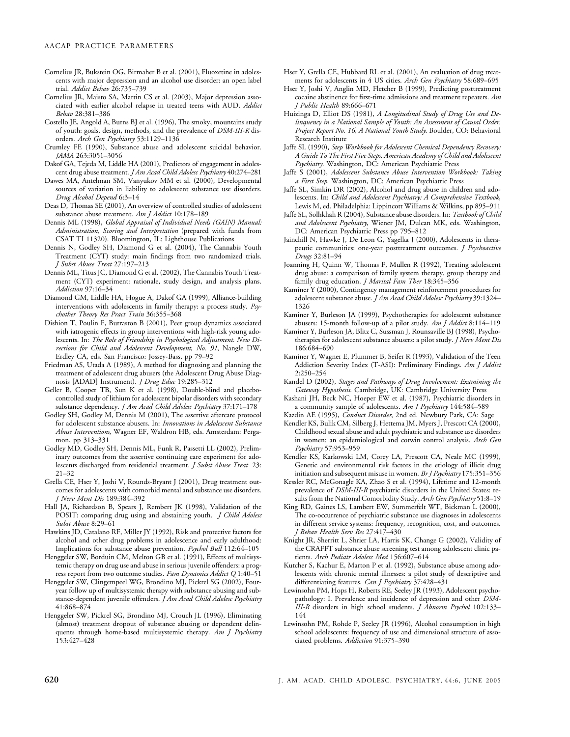- Cornelius JR, Bukstein OG, Birmaher B et al. (2001), Fluoxetine in adolescents with major depression and an alcohol use disorder: an open label trial. Addict Behav 26:735–739
- Cornelius JR, Maisto SA, Martin CS et al. (2003), Major depression associated with earlier alcohol relapse in treated teens with AUD. Addict Behav 28:381–386
- Costello JE, Angold A, Burns BJ et al. (1996), The smoky, mountains study of youth: goals, design, methods, and the prevalence of DSM-III-R disorders. Arch Gen Psychiatry 53:1129–1136
- Crumley FE (1990), Substance abuse and adolescent suicidal behavior. JAMA 263:3051–3056
- Dakof GA, Tejeda M, Liddle HA (2001), Predictors of engagement in adolescent drug abuse treatment. J Am Acad Child Adolesc Psychiatry 40:274–281
- Dawes MA, Antelman SM, Vanyukov MM et al. (2000), Developmental sources of variation in liability to adolescent substance use disorders. Drug Alcohol Depend 6:3–14
- Deas D, Thomas SE (2001), An overview of controlled studies of adolescent substance abuse treatment. Am J Addict 10:178–189
- Dennis ML (1998), Global Appraisal of Individual Needs (GAIN) Manual: Administration, Scoring and Interpretation (prepared with funds from CSAT TI 11320). Bloomington, IL: Lighthouse Publications
- Dennis N, Godley SH, Diamond G et al. (2004), The Cannabis Youth Treatment (CYT) study: main findings from two randomized trials. J Subst Abuse Treat 27:197–213
- Dennis ML, Titus JC, Diamond G et al. (2002), The Cannabis Youth Treatment (CYT) experiment: rationale, study design, and analysis plans. Addiction 97:16–34
- Diamond GM, Liddle HA, Hogue A, Dakof GA (1999), Alliance-building interventions with adolescents in family therapy: a process study. Psychother Theory Res Pract Train 36:355–368
- Dishion T, Poulin F, Burraston B (2001), Peer group dynamics associated with iatrogenic effects in group interventions with high-risk young adolescents. In: The Role of Friendship in Psychological Adjustment. New Directions for Child and Adolescent Development, No. 91, Nangle DW, Erdley CA, eds. San Francisco: Jossey-Bass, pp 79–92
- Friedman AS, Utada A (1989), A method for diagnosing and planning the treatment of adolescent drug abusers (the Adolescent Drug Abuse Diagnosis [ADAD] Instrument). J Drug Educ 19:285–312
- Geller B, Cooper TB, Sun K et al. (1998), Double-blind and placebocontrolled study of lithium for adolescent bipolar disorders with secondary substance dependency. J Am Acad Child Adolesc Psychiatry 37:171-178
- Godley SH, Godley M, Dennis M (2001), The assertive aftercare protocol for adolescent substance abusers. In: Innovations in Adolescent Substance Abuse Interventions, Wagner EF, Waldron HB, eds. Amsterdam: Pergamon, pp 313–331
- Godley MD, Godley SH, Dennis ML, Funk R, Passetti LL (2002), Preliminary outcomes from the assertive continuing care experiment for adolescents discharged from residential treatment. J Subst Abuse Treat 23: 21–32
- Grella CE, Hser Y, Joshi V, Rounds-Bryant J (2001), Drug treatment outcomes for adolescents with comorbid mental and substance use disorders. J Nerv Ment Dis 189:384–392
- Hall JA, Richardson B, Spears J, Rembert JK (1998), Validation of the POSIT: comparing drug using and abstaining youth. *J Child Adolesc* Subst Abuse 8:29–61
- Hawkins JD, Catalano RF, Miller JY (1992), Risk and protective factors for alcohol and other drug problems in adolescence and early adulthood: Implications for substance abuse prevention. Psychol Bull 112:64–105
- Henggeler SW, Borduin CM, Melton GB et al. (1991), Effects of multisystemic therapy on drug use and abuse in serious juvenile offenders: a progress report from two outcome studies. Fam Dynamics Addict Q 1:40–51
- Henggeler SW, Clingempeel WG, Brondino MJ, Pickrel SG (2002), Fouryear follow up of multisystemic therapy with substance abusing and substance-dependent juvenile offenders. J Am Acad Child Adolesc Psychiatry 41:868–874
- Henggeler SW, Pickrel SG, Brondino MJ, Crouch JL (1996), Eliminating (almost) treatment dropout of substance abusing or dependent delinquents through home-based multisystemic therapy. Am J Psychiatry 153:427–428
- Hser Y, Grella CE, Hubbard RL et al. (2001), An evaluation of drug treatments for adolescents in 4 US cities. Arch Gen Psychiatry 58:689–695
- Hser Y, Joshi V, Anglin MD, Fletcher B (1999), Predicting posttreatment cocaine abstinence for first-time admissions and treatment repeaters. Am J Public Health 89:666–671
- Huizinga D, Elliot DS (1981), A Longitudinal Study of Drug Use and Delinquency in a National Sample of Youth: An Assessment of Causal Order. Project Report No. 16, A National Youth Study. Boulder, CO: Behavioral Research Institute
- Jaffe SL (1990), Step Workbook for Adolescent Chemical Dependency Recovery: A Guide To The First Five Steps. American Academy of Child and Adolescent Psychiatry. Washington, DC: American Psychiatric Press
- Jaffe S (2001), Adolescent Substance Abuse Intervention Workbook: Taking a First Step. Washington, DC: American Psychiatric Press
- Jaffe SL, Simkin DR (2002), Alcohol and drug abuse in children and adolescents. In: Child and Adolescent Psychiatry: A Comprehensive Textbook, Lewis M, ed. Philadelphia: Lippincott Williams & Wilkins, pp 895–911
- Jaffe SL, Solhkhah R (2004), Substance abuse disorders. In: Textbook of Child and Adolescent Psychiatry, Wiener JM, Dulcan MK, eds. Washington, DC: American Psychiatric Press pp 795–812
- Jainchill N, Hawke J, De Leon G, Yagelka J (2000), Adolescents in therapeutic communities: one-year posttreatment outcomes. *J Psychoactive* Drugs 32:81–94
- Joanning H, Quinn W, Thomas F, Mullen R (1992), Treating adolescent drug abuse: a comparison of family system therapy, group therapy and family drug education. *J Marital Fam Ther* 18:345-356
- Kaminer Y (2000), Contingency management reinforcement procedures for adolescent substance abuse. J Am Acad Child Adolesc Psychiatry 39:1324-1326
- Kaminer Y, Burleson JA (1999), Psychotherapies for adolescent substance abusers: 15-month follow-up of a pilot study. Am J Addict 8:114–119
- Kaminer Y, Burleson JA, Blitz C, Sussman J, Rounsaville BJ (1998), Psychotherapies for adolescent substance abusers: a pilot study. *J Nerv Ment Dis* 186:684–690
- Kaminer Y, Wagner E, Plummer B, Seifer R (1993), Validation of the Teen Addiction Severity Index (T-ASI): Preliminary Findings. Am J Addict 2:250–254
- Kandel D (2002), Stages and Pathways of Drug Involvement: Examining the Gateway Hypothesis. Cambridge, UK: Cambridge University Press
- Kashani JH, Beck NC, Hoeper EW et al. (1987), Psychiatric disorders in a community sample of adolescents. Am J Psychiatry 144:584–589
- Kazdin AE (1995), Conduct Disorder, 2nd ed. Newbury Park, CA: Sage
- Kendler KS, Bulik CM, Silberg J, Hettema JM, Myers J, Prescott CA (2000), Childhood sexual abuse and adult psychiatric and substance use disorders in women: an epidemiological and cotwin control analysis. Arch Gen Psychiatry 57:953–959
- Kendler KS, Karkowski LM, Corey LA, Prescott CA, Neale MC (1999), Genetic and environmental risk factors in the etiology of illicit drug initiation and subsequent misuse in women. Br J Psychiatry 175:351–356
- Kessler RC, McGonagle KA, Zhao S et al. (1994), Lifetime and 12-month prevalence of DSM-III-R psychiatric disorders in the United States: results from the National Comorbidity Study. Arch Gen Psychiatry 51:8-19
- King RD, Gaines LS, Lambert EW, Summerfelt WT, Bickman L (2000), The co-occurrence of psychiatric substance use diagnoses in adolescents in different service systems: frequency, recognition, cost, and outcomes. J Behav Health Serv Res 27:417–430
- Knight JR, Sherritt L, Shrier LA, Harris SK, Change G (2002), Validity of the CRAFFT substance abuse screening test among adolescent clinic patients. Arch Pediatr Adolesc Med 156:607–614
- Kutcher S, Kachur E, Marton P et al. (1992), Substance abuse among adolescents with chronic mental illnesses: a pilot study of descriptive and differentiating features. Can J Psychiatry 37:428-431
- Lewinsohn PM, Hops H, Roberts RE, Seeley JR (1993), Adolescent psychopathology: I. Prevalence and incidence of depression and other DSM-III-R disorders in high school students. J Abnorm Psychol 102:133– 144
- Lewinsohn PM, Rohde P, Seeley JR (1996), Alcohol consumption in high school adolescents: frequency of use and dimensional structure of associated problems. Addiction 91:375–390